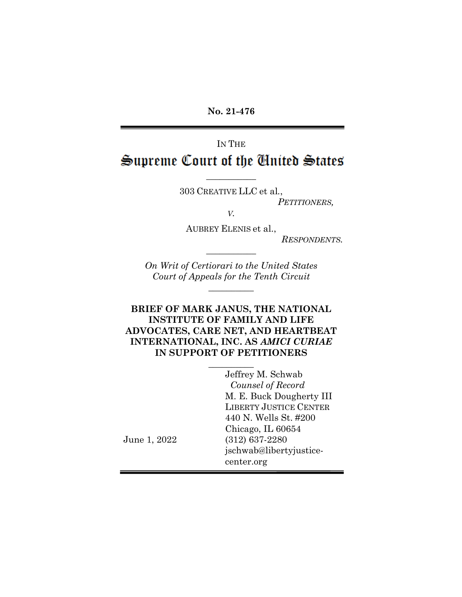**No. 21-476**

IN THE Supreme Court of the Cinited States

 $\frac{1}{2}$ 

303 CREATIVE LLC et al*.*, *PETITIONERS,*

*V.*

AUBREY ELENIS et al.,

*RESPONDENTS.*

*On Writ of Certiorari to the United States Court of Appeals for the Tenth Circuit*

 $\overline{\phantom{a}}$ 

 $\frac{1}{2}$ 

## **BRIEF OF MARK JANUS, THE NATIONAL INSTITUTE OF FAMILY AND LIFE ADVOCATES, CARE NET, AND HEARTBEAT INTERNATIONAL, INC. AS** *AMICI CURIAE* **IN SUPPORT OF PETITIONERS**

 $\overline{\phantom{a}}$  , where  $\overline{\phantom{a}}$ 

Jeffrey M. Schwab *Counsel of Record* M. E. Buck Dougherty III LIBERTY JUSTICE CENTER 440 N. Wells St. #200 Chicago, IL 60654 (312) 637-2280 jschwab@libertyjusticecenter.org

June 1, 2022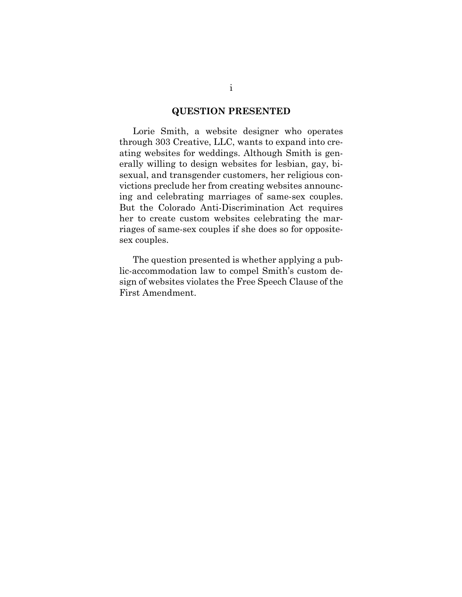#### **QUESTION PRESENTED**

Lorie Smith, a website designer who operates through 303 Creative, LLC, wants to expand into creating websites for weddings. Although Smith is generally willing to design websites for lesbian, gay, bisexual, and transgender customers, her religious convictions preclude her from creating websites announcing and celebrating marriages of same-sex couples. But the Colorado Anti-Discrimination Act requires her to create custom websites celebrating the marriages of same-sex couples if she does so for oppositesex couples.

The question presented is whether applying a public-accommodation law to compel Smith's custom design of websites violates the Free Speech Clause of the First Amendment.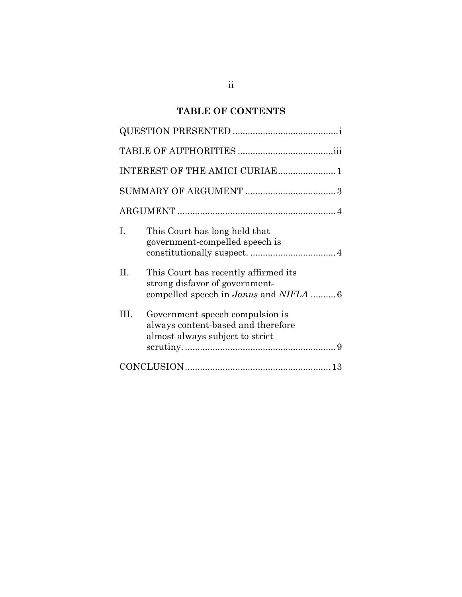# **TABLE OF CONTENTS**

|     | INTEREST OF THE AMICI CURIAE 1                                                                                                |
|-----|-------------------------------------------------------------------------------------------------------------------------------|
|     |                                                                                                                               |
|     |                                                                                                                               |
| T.  | This Court has long held that<br>government-compelled speech is                                                               |
| II. | This Court has recently affirmed its<br>strong disfavor of government-<br>compelled speech in <i>Janus</i> and <i>NIFLA</i> 6 |
| Ш   | Government speech compulsion is<br>always content-based and therefore<br>almost always subject to strict                      |
|     |                                                                                                                               |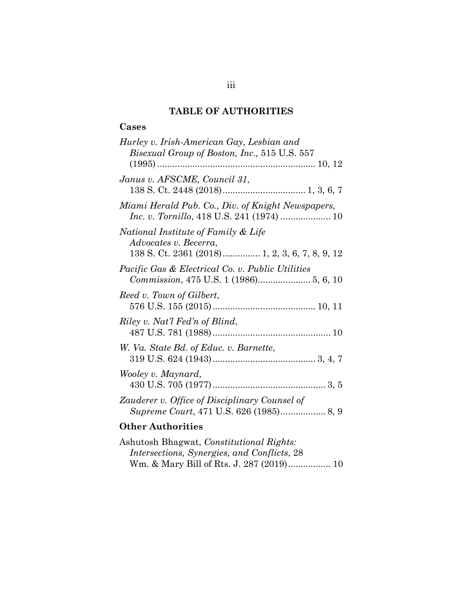# **TABLE OF AUTHORITIES**

## **Cases**

| Hurley v. Irish-American Gay, Lesbian and<br>Bisexual Group of Boston, Inc., 515 U.S. 557                      |
|----------------------------------------------------------------------------------------------------------------|
| Janus v. AFSCME, Council 31,                                                                                   |
| Miami Herald Pub. Co., Div. of Knight Newspapers,                                                              |
| National Institute of Family & Life<br>Advocates v. Becerra,<br>138 S. Ct. 2361 (2018) 1, 2, 3, 6, 7, 8, 9, 12 |
| <i>Pacific Gas &amp; Electrical Co. v. Public Utilities</i>                                                    |
| Reed v. Town of Gilbert,                                                                                       |
| Riley v. Nat'l Fed'n of Blind,                                                                                 |
| W. Va. State Bd. of Educ. v. Barnette,                                                                         |
| Wooley v. Maynard,                                                                                             |
| Zauderer v. Office of Disciplinary Counsel of                                                                  |

# **Other Authorities**

| Ashutosh Bhagwat, Constitutional Rights:    |  |
|---------------------------------------------|--|
| Intersections, Synergies, and Conflicts, 28 |  |
|                                             |  |

# iii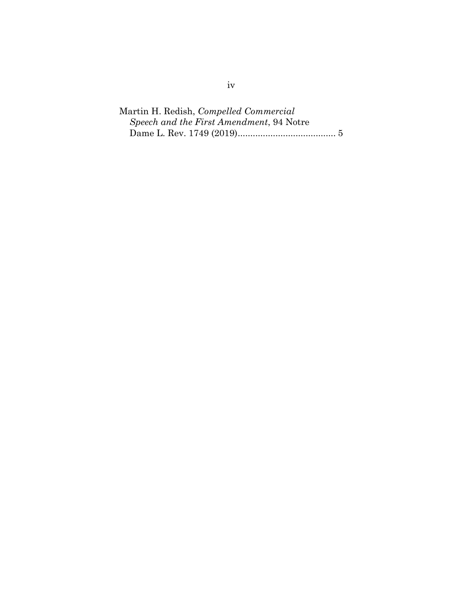Martin H. Redish, *Compelled Commercial Speech and the First Amendment*, 94 Notre Dame L. Rev. 1749 (2019)....................................... 5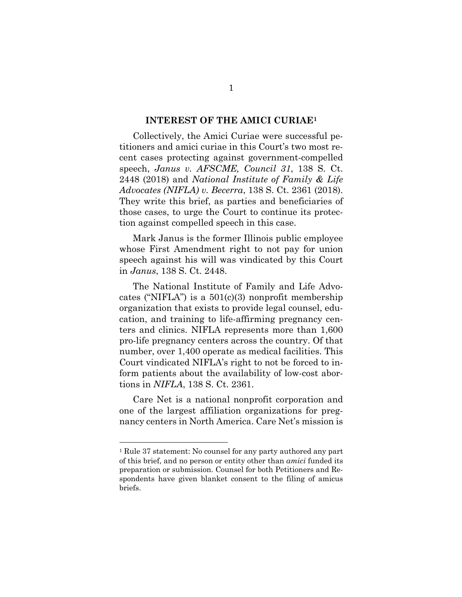#### **INTEREST OF THE AMICI CURIAE1**

Collectively, the Amici Curiae were successful petitioners and amici curiae in this Court's two most recent cases protecting against government-compelled speech, *Janus v. AFSCME, Council 31*, 138 S. Ct. 2448 (2018) and *National Institute of Family & Life Advocates (NIFLA) v. Becerra*, 138 S. Ct. 2361 (2018). They write this brief, as parties and beneficiaries of those cases, to urge the Court to continue its protection against compelled speech in this case.

Mark Janus is the former Illinois public employee whose First Amendment right to not pay for union speech against his will was vindicated by this Court in *Janus*, 138 S. Ct. 2448.

The National Institute of Family and Life Advocates ("NIFLA") is a  $501(c)(3)$  nonprofit membership organization that exists to provide legal counsel, education, and training to life-affirming pregnancy centers and clinics. NIFLA represents more than 1,600 pro-life pregnancy centers across the country. Of that number, over 1,400 operate as medical facilities. This Court vindicated NIFLA's right to not be forced to inform patients about the availability of low-cost abortions in *NIFLA*, 138 S. Ct. 2361.

Care Net is a national nonprofit corporation and one of the largest affiliation organizations for pregnancy centers in North America. Care Net's mission is

<sup>1</sup> Rule 37 statement: No counsel for any party authored any part of this brief, and no person or entity other than *amici* funded its preparation or submission. Counsel for both Petitioners and Respondents have given blanket consent to the filing of amicus briefs.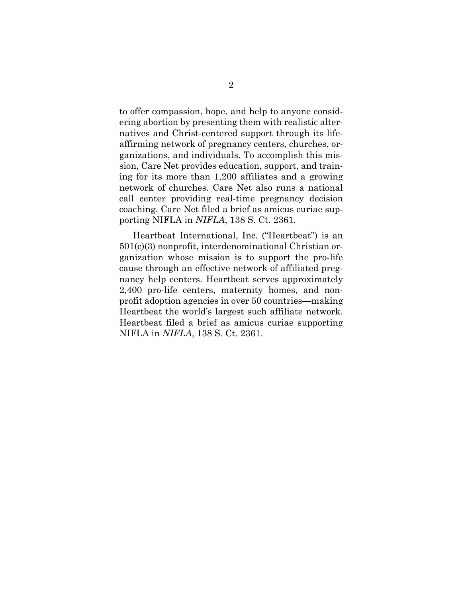to offer compassion, hope, and help to anyone considering abortion by presenting them with realistic alternatives and Christ-centered support through its lifeaffirming network of pregnancy centers, churches, organizations, and individuals. To accomplish this mission, Care Net provides education, support, and training for its more than 1,200 affiliates and a growing network of churches. Care Net also runs a national call center providing real-time pregnancy decision coaching. Care Net filed a brief as amicus curiae supporting NIFLA in *NIFLA*, 138 S. Ct. 2361.

Heartbeat International, Inc. ("Heartbeat") is an 501(c)(3) nonprofit, interdenominational Christian organization whose mission is to support the pro-life cause through an effective network of affiliated pregnancy help centers. Heartbeat serves approximately 2,400 pro-life centers, maternity homes, and nonprofit adoption agencies in over 50 countries—making Heartbeat the world's largest such affiliate network. Heartbeat filed a brief as amicus curiae supporting NIFLA in *NIFLA*, 138 S. Ct. 2361.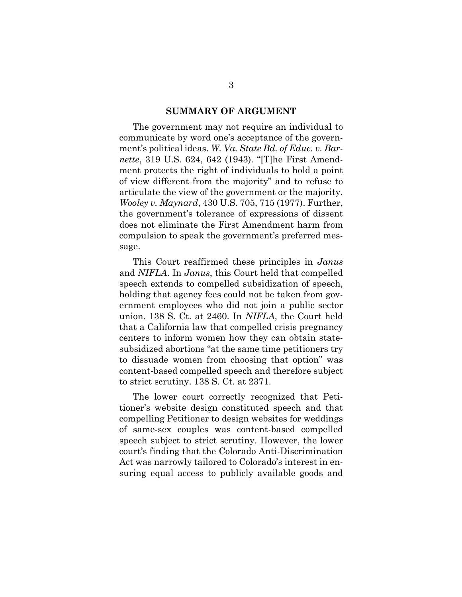#### **SUMMARY OF ARGUMENT**

The government may not require an individual to communicate by word one's acceptance of the government's political ideas. *W. Va. State Bd. of Educ. v. Barnette*, 319 U.S. 624, 642 (1943). "[T]he First Amendment protects the right of individuals to hold a point of view different from the majority" and to refuse to articulate the view of the government or the majority. *Wooley v. Maynard*, 430 U.S. 705, 715 (1977). Further, the government's tolerance of expressions of dissent does not eliminate the First Amendment harm from compulsion to speak the government's preferred message.

This Court reaffirmed these principles in *Janus* and *NIFLA*. In *Janus*, this Court held that compelled speech extends to compelled subsidization of speech, holding that agency fees could not be taken from government employees who did not join a public sector union. 138 S. Ct. at 2460. In *NIFLA*, the Court held that a California law that compelled crisis pregnancy centers to inform women how they can obtain statesubsidized abortions "at the same time petitioners try to dissuade women from choosing that option" was content-based compelled speech and therefore subject to strict scrutiny. 138 S. Ct. at 2371.

The lower court correctly recognized that Petitioner's website design constituted speech and that compelling Petitioner to design websites for weddings of same-sex couples was content-based compelled speech subject to strict scrutiny. However, the lower court's finding that the Colorado Anti-Discrimination Act was narrowly tailored to Colorado's interest in ensuring equal access to publicly available goods and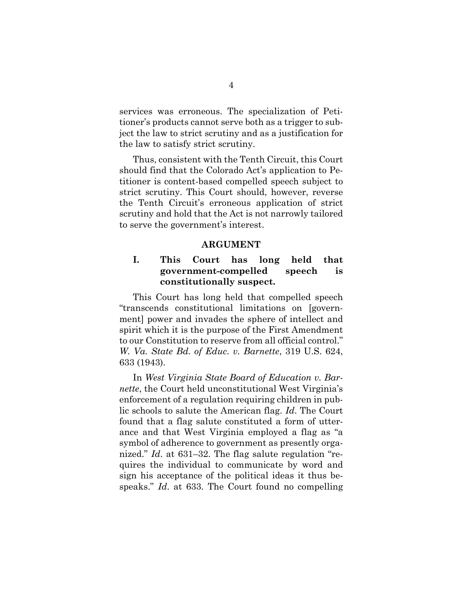services was erroneous. The specialization of Petitioner's products cannot serve both as a trigger to subject the law to strict scrutiny and as a justification for the law to satisfy strict scrutiny.

Thus, consistent with the Tenth Circuit, this Court should find that the Colorado Act's application to Petitioner is content-based compelled speech subject to strict scrutiny. This Court should, however, reverse the Tenth Circuit's erroneous application of strict scrutiny and hold that the Act is not narrowly tailored to serve the government's interest.

#### **ARGUMENT**

## **I. This Court has long held that government-compelled speech is constitutionally suspect.**

This Court has long held that compelled speech "transcends constitutional limitations on [government] power and invades the sphere of intellect and spirit which it is the purpose of the First Amendment to our Constitution to reserve from all official control." *W. Va. State Bd. of Educ. v. Barnette*, 319 U.S. 624, 633 (1943).

In *West Virginia State Board of Education v. Barnette*, the Court held unconstitutional West Virginia's enforcement of a regulation requiring children in public schools to salute the American flag. *Id*. The Court found that a flag salute constituted a form of utterance and that West Virginia employed a flag as "a symbol of adherence to government as presently organized." *Id*. at 631–32. The flag salute regulation "requires the individual to communicate by word and sign his acceptance of the political ideas it thus bespeaks." *Id*. at 633. The Court found no compelling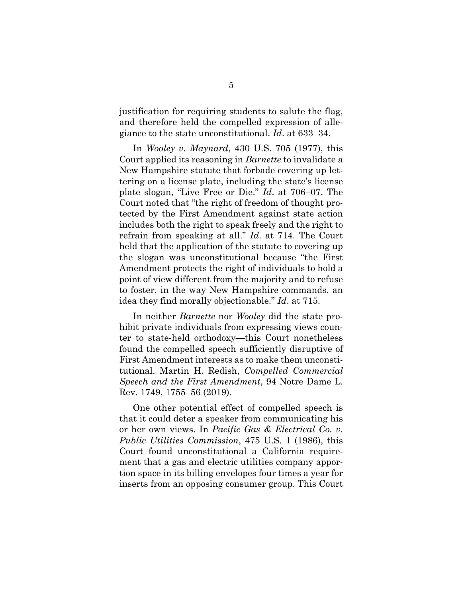justification for requiring students to salute the flag, and therefore held the compelled expression of allegiance to the state unconstitutional. *Id*. at 633–34.

In *Wooley v. Maynard*, 430 U.S. 705 (1977), this Court applied its reasoning in *Barnette* to invalidate a New Hampshire statute that forbade covering up lettering on a license plate, including the state's license plate slogan, "Live Free or Die." *Id*. at 706–07. The Court noted that "the right of freedom of thought protected by the First Amendment against state action includes both the right to speak freely and the right to refrain from speaking at all." *Id*. at 714. The Court held that the application of the statute to covering up the slogan was unconstitutional because "the First Amendment protects the right of individuals to hold a point of view different from the majority and to refuse to foster, in the way New Hampshire commands, an idea they find morally objectionable." *Id*. at 715.

In neither *Barnette* nor *Wooley* did the state prohibit private individuals from expressing views counter to state-held orthodoxy—this Court nonetheless found the compelled speech sufficiently disruptive of First Amendment interests as to make them unconstitutional. Martin H. Redish, *Compelled Commercial Speech and the First Amendment*, 94 Notre Dame L. Rev. 1749, 1755–56 (2019).

One other potential effect of compelled speech is that it could deter a speaker from communicating his or her own views. In *Pacific Gas & Electrical Co. v. Public Utilities Commission*, 475 U.S. 1 (1986), this Court found unconstitutional a California requirement that a gas and electric utilities company apportion space in its billing envelopes four times a year for inserts from an opposing consumer group. This Court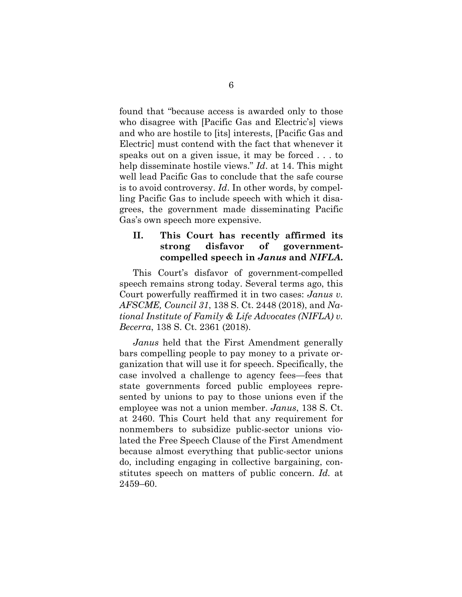found that "because access is awarded only to those who disagree with [Pacific Gas and Electric's] views and who are hostile to [its] interests, [Pacific Gas and Electric] must contend with the fact that whenever it speaks out on a given issue, it may be forced . . . to help disseminate hostile views." *Id*. at 14. This might well lead Pacific Gas to conclude that the safe course is to avoid controversy. *Id*. In other words, by compelling Pacific Gas to include speech with which it disagrees, the government made disseminating Pacific Gas's own speech more expensive.

### **II. This Court has recently affirmed its strong disfavor of governmentcompelled speech in** *Janus* **and** *NIFLA***.**

This Court's disfavor of government-compelled speech remains strong today. Several terms ago, this Court powerfully reaffirmed it in two cases: *Janus v. AFSCME, Council 31*, 138 S. Ct. 2448 (2018), and *National Institute of Family & Life Advocates (NIFLA) v. Becerra*, 138 S. Ct. 2361 (2018).

*Janus* held that the First Amendment generally bars compelling people to pay money to a private organization that will use it for speech. Specifically, the case involved a challenge to agency fees—fees that state governments forced public employees represented by unions to pay to those unions even if the employee was not a union member. *Janus*, 138 S. Ct. at 2460. This Court held that any requirement for nonmembers to subsidize public-sector unions violated the Free Speech Clause of the First Amendment because almost everything that public-sector unions do, including engaging in collective bargaining, constitutes speech on matters of public concern. *Id.* at 2459–60.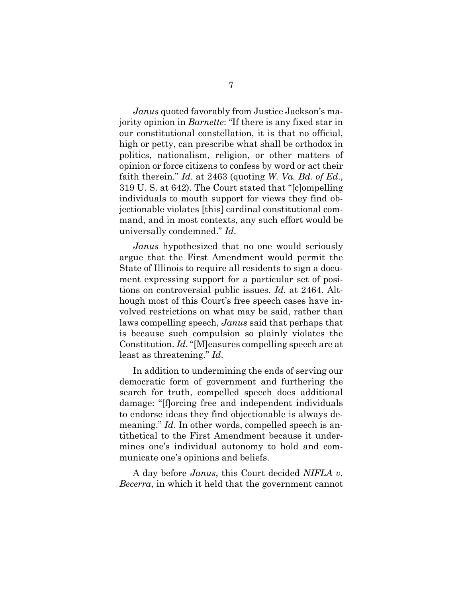*Janus* quoted favorably from Justice Jackson's majority opinion in *Barnette*: "If there is any fixed star in our constitutional constellation, it is that no official, high or petty, can prescribe what shall be orthodox in politics, nationalism, religion, or other matters of opinion or force citizens to confess by word or act their faith therein." *Id*. at 2463 (quoting *W. Va. Bd. of Ed*., 319 U. S. at 642). The Court stated that "[c]ompelling individuals to mouth support for views they find objectionable violates [this] cardinal constitutional command, and in most contexts, any such effort would be universally condemned." *Id*.

*Janus* hypothesized that no one would seriously argue that the First Amendment would permit the State of Illinois to require all residents to sign a document expressing support for a particular set of positions on controversial public issues. *Id*. at 2464. Although most of this Court's free speech cases have involved restrictions on what may be said, rather than laws compelling speech, *Janus* said that perhaps that is because such compulsion so plainly violates the Constitution. *Id*. "[M]easures compelling speech are at least as threatening." *Id*.

In addition to undermining the ends of serving our democratic form of government and furthering the search for truth, compelled speech does additional damage: "[f]orcing free and independent individuals to endorse ideas they find objectionable is always demeaning." *Id*. In other words, compelled speech is antithetical to the First Amendment because it undermines one's individual autonomy to hold and communicate one's opinions and beliefs.

A day before *Janus*, this Court decided *NIFLA v. Becerra*, in which it held that the government cannot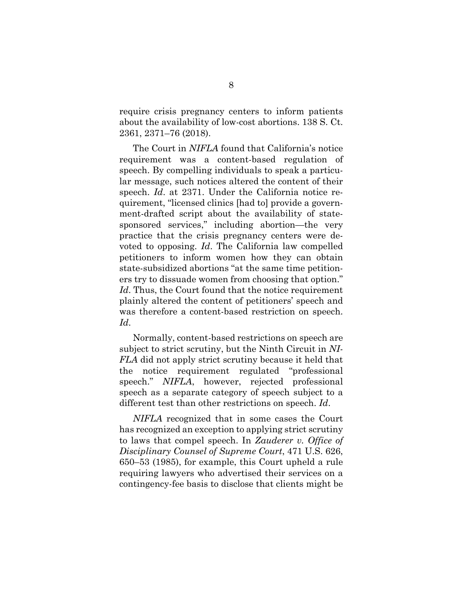require crisis pregnancy centers to inform patients about the availability of low-cost abortions. 138 S. Ct. 2361, 2371–76 (2018).

The Court in *NIFLA* found that California's notice requirement was a content-based regulation of speech. By compelling individuals to speak a particular message, such notices altered the content of their speech. *Id*. at 2371. Under the California notice requirement, "licensed clinics [had to] provide a government-drafted script about the availability of statesponsored services," including abortion—the very practice that the crisis pregnancy centers were devoted to opposing. *Id*. The California law compelled petitioners to inform women how they can obtain state-subsidized abortions "at the same time petitioners try to dissuade women from choosing that option." *Id*. Thus, the Court found that the notice requirement plainly altered the content of petitioners' speech and was therefore a content-based restriction on speech. *Id*.

Normally, content-based restrictions on speech are subject to strict scrutiny, but the Ninth Circuit in *NI-FLA* did not apply strict scrutiny because it held that the notice requirement regulated "professional speech." *NIFLA*, however, rejected professional speech as a separate category of speech subject to a different test than other restrictions on speech. *Id*.

*NIFLA* recognized that in some cases the Court has recognized an exception to applying strict scrutiny to laws that compel speech. In *Zauderer v. Office of Disciplinary Counsel of Supreme Court*, 471 U.S. 626, 650–53 (1985), for example, this Court upheld a rule requiring lawyers who advertised their services on a contingency-fee basis to disclose that clients might be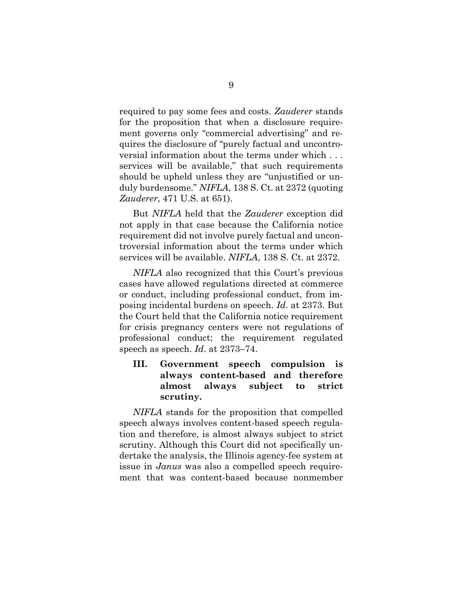required to pay some fees and costs. *Zauderer* stands for the proposition that when a disclosure requirement governs only "commercial advertising" and requires the disclosure of "purely factual and uncontroversial information about the terms under which . . . services will be available," that such requirements should be upheld unless they are "unjustified or unduly burdensome." *NIFLA*, 138 S. Ct. at 2372 (quoting *Zauderer*, 471 U.S. at 651).

But *NIFLA* held that the *Zauderer* exception did not apply in that case because the California notice requirement did not involve purely factual and uncontroversial information about the terms under which services will be available. *NIFLA*, 138 S. Ct. at 2372.

*NIFLA* also recognized that this Court's previous cases have allowed regulations directed at commerce or conduct, including professional conduct, from imposing incidental burdens on speech. *Id*. at 2373. But the Court held that the California notice requirement for crisis pregnancy centers were not regulations of professional conduct; the requirement regulated speech as speech. *Id*. at 2373–74.

## **III. Government speech compulsion is always content-based and therefore almost always subject to strict scrutiny.**

*NIFLA* stands for the proposition that compelled speech always involves content-based speech regulation and therefore, is almost always subject to strict scrutiny. Although this Court did not specifically undertake the analysis, the Illinois agency-fee system at issue in *Janus* was also a compelled speech requirement that was content-based because nonmember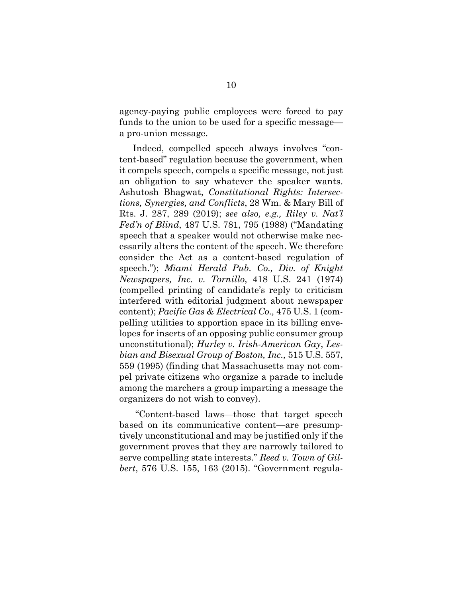agency-paying public employees were forced to pay funds to the union to be used for a specific message a pro-union message.

Indeed, compelled speech always involves "content-based" regulation because the government, when it compels speech, compels a specific message, not just an obligation to say whatever the speaker wants. Ashutosh Bhagwat, *Constitutional Rights: Intersections, Synergies, and Conflicts*, 28 Wm. & Mary Bill of Rts. J. 287, 289 (2019); *see also, e.g., Riley v. Nat'l Fed'n of Blind*, 487 U.S. 781, 795 (1988) ("Mandating speech that a speaker would not otherwise make necessarily alters the content of the speech. We therefore consider the Act as a content-based regulation of speech."); *Miami Herald Pub. Co., Div. of Knight Newspapers, Inc. v. Tornillo*, 418 U.S. 241 (1974) (compelled printing of candidate's reply to criticism interfered with editorial judgment about newspaper content); *Pacific Gas & Electrical Co.,* 475 U.S. 1 (compelling utilities to apportion space in its billing envelopes for inserts of an opposing public consumer group unconstitutional); *Hurley v. Irish-American Gay*, *Lesbian and Bisexual Group of Boston, Inc.,* 515 U.S. 557, 559 (1995) (finding that Massachusetts may not compel private citizens who organize a parade to include among the marchers a group imparting a message the organizers do not wish to convey).

"Content-based laws—those that target speech based on its communicative content—are presumptively unconstitutional and may be justified only if the government proves that they are narrowly tailored to serve compelling state interests." *Reed v. Town of Gilbert*, 576 U.S. 155, 163 (2015). "Government regula-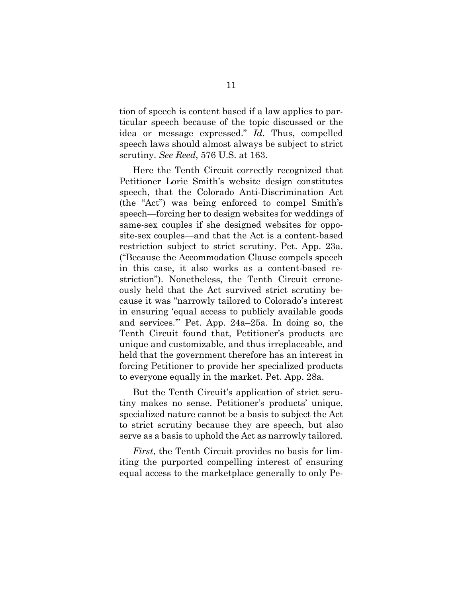tion of speech is content based if a law applies to particular speech because of the topic discussed or the idea or message expressed." *Id*. Thus, compelled speech laws should almost always be subject to strict scrutiny. *See Reed*, 576 U.S. at 163.

Here the Tenth Circuit correctly recognized that Petitioner Lorie Smith's website design constitutes speech, that the Colorado Anti-Discrimination Act (the "Act") was being enforced to compel Smith's speech—forcing her to design websites for weddings of same-sex couples if she designed websites for opposite-sex couples—and that the Act is a content-based restriction subject to strict scrutiny. Pet. App. 23a. ("Because the Accommodation Clause compels speech in this case, it also works as a content-based restriction"). Nonetheless, the Tenth Circuit erroneously held that the Act survived strict scrutiny because it was "narrowly tailored to Colorado's interest in ensuring 'equal access to publicly available goods and services.'" Pet. App. 24a–25a. In doing so, the Tenth Circuit found that, Petitioner's products are unique and customizable, and thus irreplaceable, and held that the government therefore has an interest in forcing Petitioner to provide her specialized products to everyone equally in the market. Pet. App. 28a.

But the Tenth Circuit's application of strict scrutiny makes no sense. Petitioner's products' unique, specialized nature cannot be a basis to subject the Act to strict scrutiny because they are speech, but also serve as a basis to uphold the Act as narrowly tailored.

*First*, the Tenth Circuit provides no basis for limiting the purported compelling interest of ensuring equal access to the marketplace generally to only Pe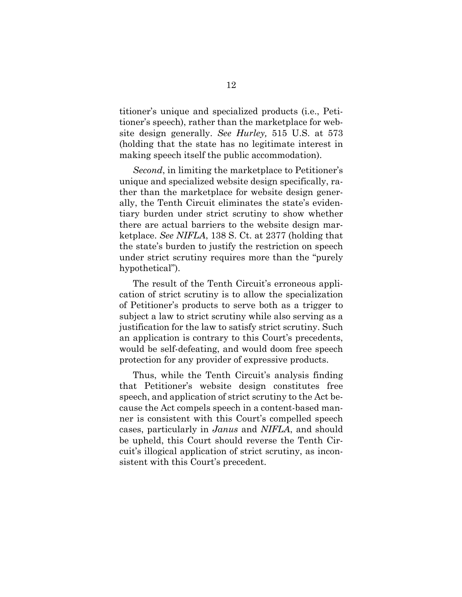titioner's unique and specialized products (i.e., Petitioner's speech), rather than the marketplace for website design generally. *See Hurley,* 515 U.S. at 573 (holding that the state has no legitimate interest in making speech itself the public accommodation).

*Second*, in limiting the marketplace to Petitioner's unique and specialized website design specifically, rather than the marketplace for website design generally, the Tenth Circuit eliminates the state's evidentiary burden under strict scrutiny to show whether there are actual barriers to the website design marketplace. *See NIFLA*, 138 S. Ct. at 2377 (holding that the state's burden to justify the restriction on speech under strict scrutiny requires more than the "purely hypothetical").

The result of the Tenth Circuit's erroneous application of strict scrutiny is to allow the specialization of Petitioner's products to serve both as a trigger to subject a law to strict scrutiny while also serving as a justification for the law to satisfy strict scrutiny. Such an application is contrary to this Court's precedents, would be self-defeating, and would doom free speech protection for any provider of expressive products.

Thus, while the Tenth Circuit's analysis finding that Petitioner's website design constitutes free speech, and application of strict scrutiny to the Act because the Act compels speech in a content-based manner is consistent with this Court's compelled speech cases, particularly in *Janus* and *NIFLA*, and should be upheld, this Court should reverse the Tenth Circuit's illogical application of strict scrutiny, as inconsistent with this Court's precedent.